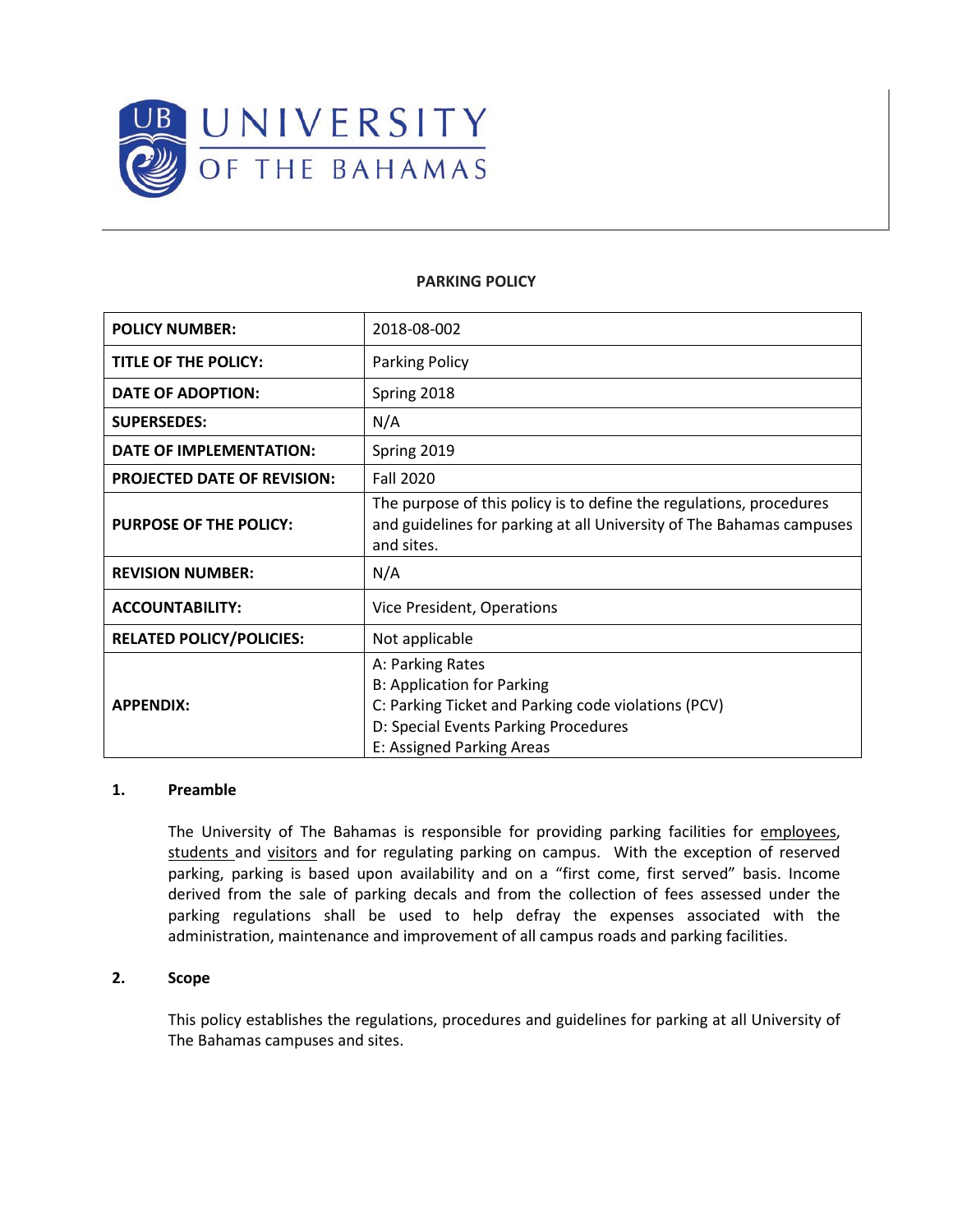

#### **PARKING POLICY**

| <b>POLICY NUMBER:</b>              | 2018-08-002                                                                                                                                                                       |
|------------------------------------|-----------------------------------------------------------------------------------------------------------------------------------------------------------------------------------|
| <b>TITLE OF THE POLICY:</b>        | Parking Policy                                                                                                                                                                    |
| <b>DATE OF ADOPTION:</b>           | Spring 2018                                                                                                                                                                       |
| <b>SUPERSEDES:</b>                 | N/A                                                                                                                                                                               |
| DATE OF IMPLEMENTATION:            | Spring 2019                                                                                                                                                                       |
| <b>PROJECTED DATE OF REVISION:</b> | <b>Fall 2020</b>                                                                                                                                                                  |
| <b>PURPOSE OF THE POLICY:</b>      | The purpose of this policy is to define the regulations, procedures<br>and guidelines for parking at all University of The Bahamas campuses<br>and sites.                         |
| <b>REVISION NUMBER:</b>            | N/A                                                                                                                                                                               |
| <b>ACCOUNTABILITY:</b>             | Vice President, Operations                                                                                                                                                        |
| <b>RELATED POLICY/POLICIES:</b>    | Not applicable                                                                                                                                                                    |
| <b>APPENDIX:</b>                   | A: Parking Rates<br><b>B: Application for Parking</b><br>C: Parking Ticket and Parking code violations (PCV)<br>D: Special Events Parking Procedures<br>E: Assigned Parking Areas |

#### **1. Preamble**

The University of The Bahamas is responsible for providing parking facilities for employees, students and visitors and for regulating parking on campus. With the exception of reserved parking, parking is based upon availability and on a "first come, first served" basis. Income derived from the sale of parking decals and from the collection of fees assessed under the parking regulations shall be used to help defray the expenses associated with the administration, maintenance and improvement of all campus roads and parking facilities.

#### **2. Scope**

This policy establishes the regulations, procedures and guidelines for parking at all University of The Bahamas campuses and sites.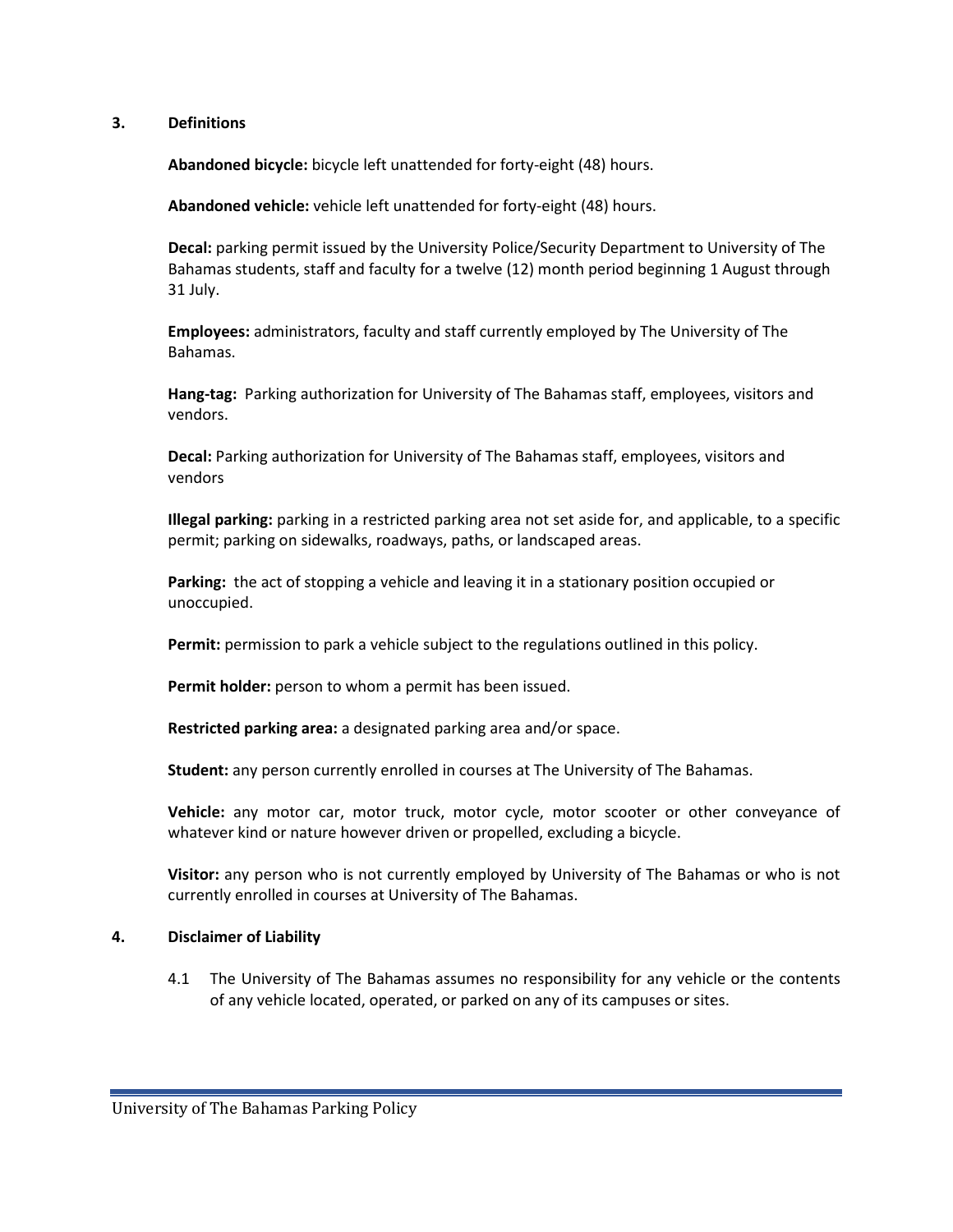#### **3. Definitions**

**Abandoned bicycle:** bicycle left unattended for forty-eight (48) hours.

**Abandoned vehicle:** vehicle left unattended for forty-eight (48) hours.

**Decal:** parking permit issued by the University Police/Security Department to University of The Bahamas students, staff and faculty for a twelve (12) month period beginning 1 August through 31 July.

**Employees:** administrators, faculty and staff currently employed by The University of The Bahamas.

**Hang-tag:** Parking authorization for University of The Bahamas staff, employees, visitors and vendors.

**Decal:** Parking authorization for University of The Bahamas staff, employees, visitors and vendors

**Illegal parking:** parking in a restricted parking area not set aside for, and applicable, to a specific permit; parking on sidewalks, roadways, paths, or landscaped areas.

**Parking:** the act of stopping a vehicle and leaving it in a stationary position occupied or unoccupied.

**Permit:** permission to park a vehicle subject to the regulations outlined in this policy.

Permit holder: person to whom a permit has been issued.

**Restricted parking area:** a designated parking area and/or space.

**Student:** any person currently enrolled in courses at The University of The Bahamas.

**Vehicle:** any motor car, motor truck, motor cycle, motor scooter or other conveyance of whatever kind or nature however driven or propelled, excluding a bicycle.

**Visitor:** any person who is not currently employed by University of The Bahamas or who is not currently enrolled in courses at University of The Bahamas.

#### **4. Disclaimer of Liability**

4.1 The University of The Bahamas assumes no responsibility for any vehicle or the contents of any vehicle located, operated, or parked on any of its campuses or sites.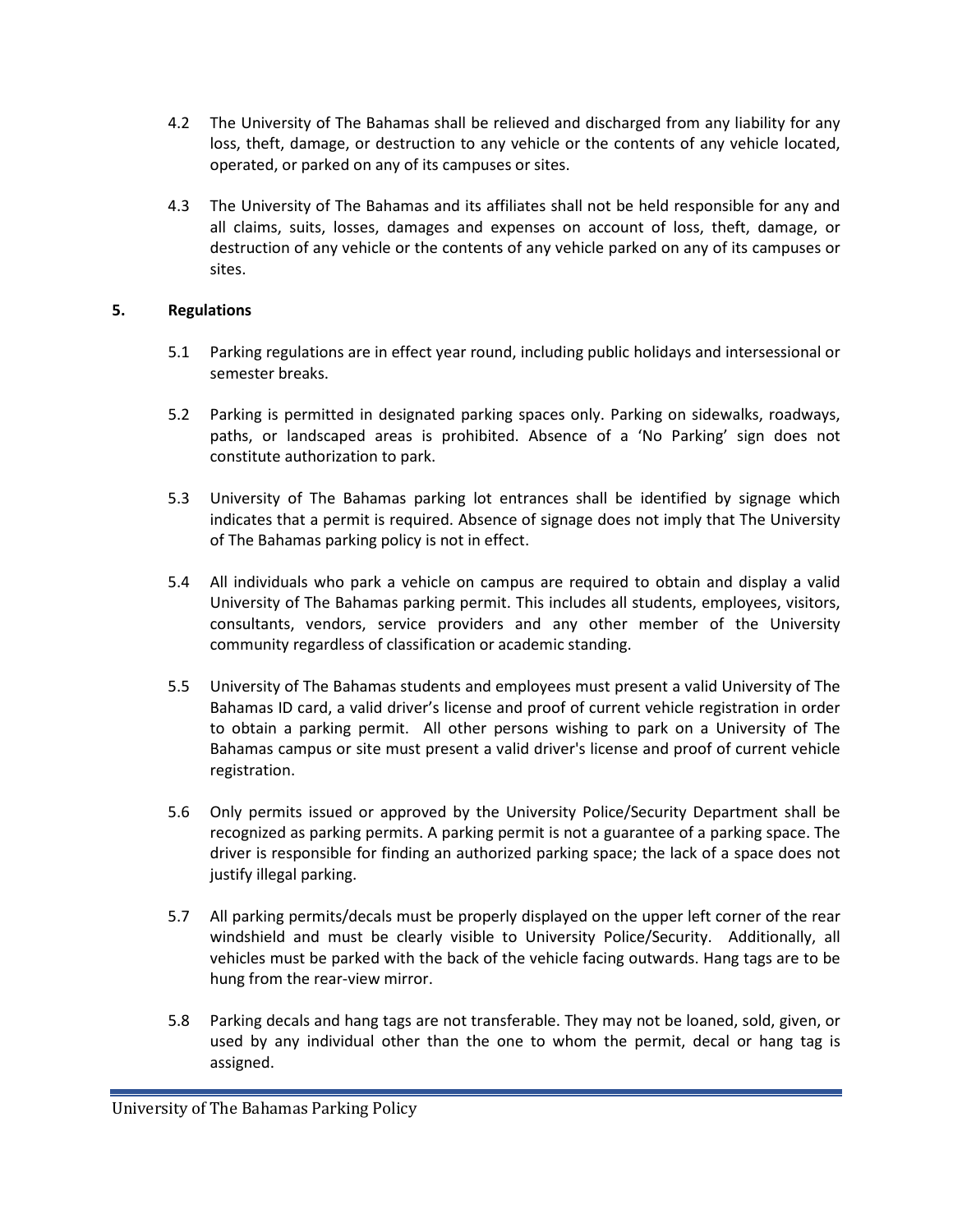- 4.2 The University of The Bahamas shall be relieved and discharged from any liability for any loss, theft, damage, or destruction to any vehicle or the contents of any vehicle located, operated, or parked on any of its campuses or sites.
- 4.3 The University of The Bahamas and its affiliates shall not be held responsible for any and all claims, suits, losses, damages and expenses on account of loss, theft, damage, or destruction of any vehicle or the contents of any vehicle parked on any of its campuses or sites.

#### **5. Regulations**

- 5.1 Parking regulations are in effect year round, including public holidays and intersessional or semester breaks.
- 5.2 Parking is permitted in designated parking spaces only. Parking on sidewalks, roadways, paths, or landscaped areas is prohibited. Absence of a 'No Parking' sign does not constitute authorization to park.
- 5.3 University of The Bahamas parking lot entrances shall be identified by signage which indicates that a permit is required. Absence of signage does not imply that The University of The Bahamas parking policy is not in effect.
- 5.4 All individuals who park a vehicle on campus are required to obtain and display a valid University of The Bahamas parking permit. This includes all students, employees, visitors, consultants, vendors, service providers and any other member of the University community regardless of classification or academic standing.
- 5.5 University of The Bahamas students and employees must present a valid University of The Bahamas ID card, a valid driver's license and proof of current vehicle registration in order to obtain a parking permit. All other persons wishing to park on a University of The Bahamas campus or site must present a valid driver's license and proof of current vehicle registration.
- 5.6 Only permits issued or approved by the University Police/Security Department shall be recognized as parking permits. A parking permit is not a guarantee of a parking space. The driver is responsible for finding an authorized parking space; the lack of a space does not justify illegal parking.
- 5.7 All parking permits/decals must be properly displayed on the upper left corner of the rear windshield and must be clearly visible to University Police/Security. Additionally, all vehicles must be parked with the back of the vehicle facing outwards. Hang tags are to be hung from the rear-view mirror.
- 5.8 Parking decals and hang tags are not transferable. They may not be loaned, sold, given, or used by any individual other than the one to whom the permit, decal or hang tag is assigned.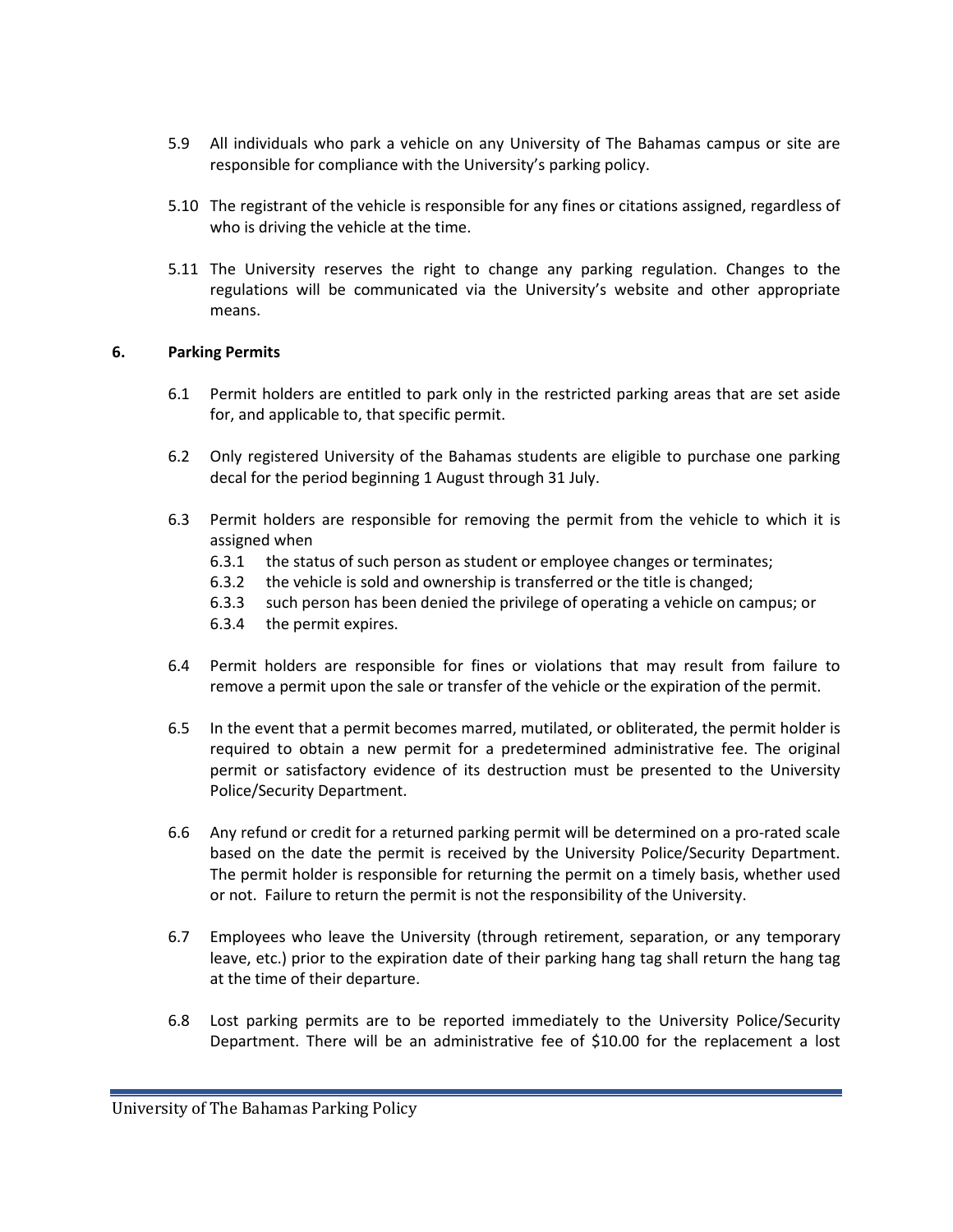- 5.9 All individuals who park a vehicle on any University of The Bahamas campus or site are responsible for compliance with the University's parking policy.
- 5.10 The registrant of the vehicle is responsible for any fines or citations assigned, regardless of who is driving the vehicle at the time.
- 5.11 The University reserves the right to change any parking regulation. Changes to the regulations will be communicated via the University's website and other appropriate means.

#### **6. Parking Permits**

- 6.1 Permit holders are entitled to park only in the restricted parking areas that are set aside for, and applicable to, that specific permit.
- 6.2 Only registered University of the Bahamas students are eligible to purchase one parking decal for the period beginning 1 August through 31 July.
- 6.3 Permit holders are responsible for removing the permit from the vehicle to which it is assigned when
	- 6.3.1 the status of such person as student or employee changes or terminates;
	- 6.3.2 the vehicle is sold and ownership is transferred or the title is changed;
	- 6.3.3 such person has been denied the privilege of operating a vehicle on campus; or
	- 6.3.4 the permit expires.
- 6.4 Permit holders are responsible for fines or violations that may result from failure to remove a permit upon the sale or transfer of the vehicle or the expiration of the permit.
- 6.5 In the event that a permit becomes marred, mutilated, or obliterated, the permit holder is required to obtain a new permit for a predetermined administrative fee. The original permit or satisfactory evidence of its destruction must be presented to the University Police/Security Department.
- 6.6 Any refund or credit for a returned parking permit will be determined on a pro-rated scale based on the date the permit is received by the University Police/Security Department. The permit holder is responsible for returning the permit on a timely basis, whether used or not. Failure to return the permit is not the responsibility of the University.
- 6.7 Employees who leave the University (through retirement, separation, or any temporary leave, etc.) prior to the expiration date of their parking hang tag shall return the hang tag at the time of their departure.
- 6.8 Lost parking permits are to be reported immediately to the University Police/Security Department. There will be an administrative fee of \$10.00 for the replacement a lost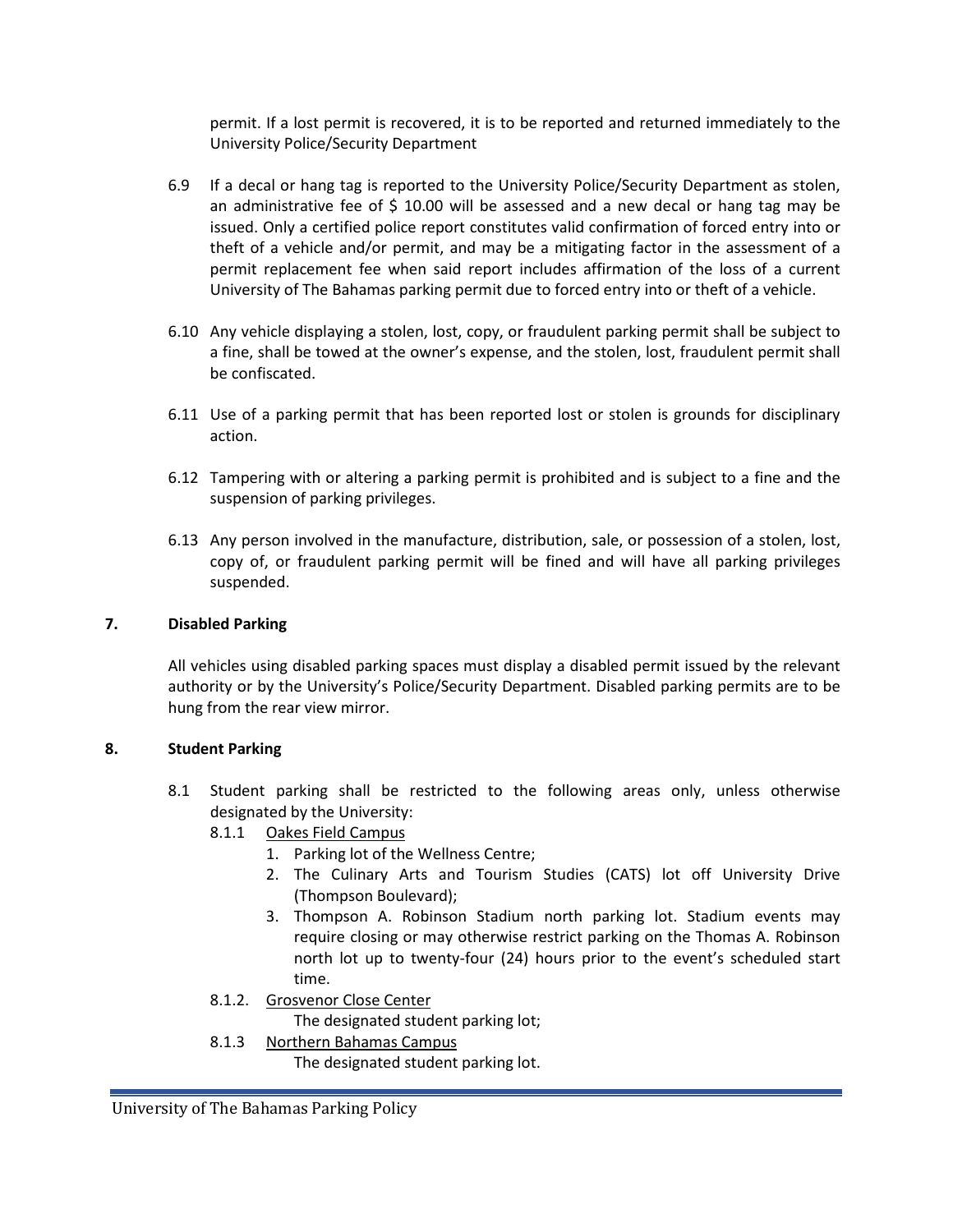permit. If a lost permit is recovered, it is to be reported and returned immediately to the University Police/Security Department

- 6.9 If a decal or hang tag is reported to the University Police/Security Department as stolen, an administrative fee of  $$ 10.00$  will be assessed and a new decal or hang tag may be issued. Only a certified police report constitutes valid confirmation of forced entry into or theft of a vehicle and/or permit, and may be a mitigating factor in the assessment of a permit replacement fee when said report includes affirmation of the loss of a current University of The Bahamas parking permit due to forced entry into or theft of a vehicle.
- 6.10 Any vehicle displaying a stolen, lost, copy, or fraudulent parking permit shall be subject to a fine, shall be towed at the owner's expense, and the stolen, lost, fraudulent permit shall be confiscated.
- 6.11 Use of a parking permit that has been reported lost or stolen is grounds for disciplinary action.
- 6.12 Tampering with or altering a parking permit is prohibited and is subject to a fine and the suspension of parking privileges.
- 6.13 Any person involved in the manufacture, distribution, sale, or possession of a stolen, lost, copy of, or fraudulent parking permit will be fined and will have all parking privileges suspended.

#### **7. Disabled Parking**

All vehicles using disabled parking spaces must display a disabled permit issued by the relevant authority or by the University's Police/Security Department. Disabled parking permits are to be hung from the rear view mirror.

#### **8. Student Parking**

- 8.1 Student parking shall be restricted to the following areas only, unless otherwise designated by the University:
	- 8.1.1 Oakes Field Campus
		- 1. Parking lot of the Wellness Centre;
		- 2. The Culinary Arts and Tourism Studies (CATS) lot off University Drive (Thompson Boulevard);
		- 3. Thompson A. Robinson Stadium north parking lot. Stadium events may require closing or may otherwise restrict parking on the Thomas A. Robinson north lot up to twenty-four (24) hours prior to the event's scheduled start time.
	- 8.1.2. Grosvenor Close Center

The designated student parking lot;

8.1.3 Northern Bahamas Campus

The designated student parking lot.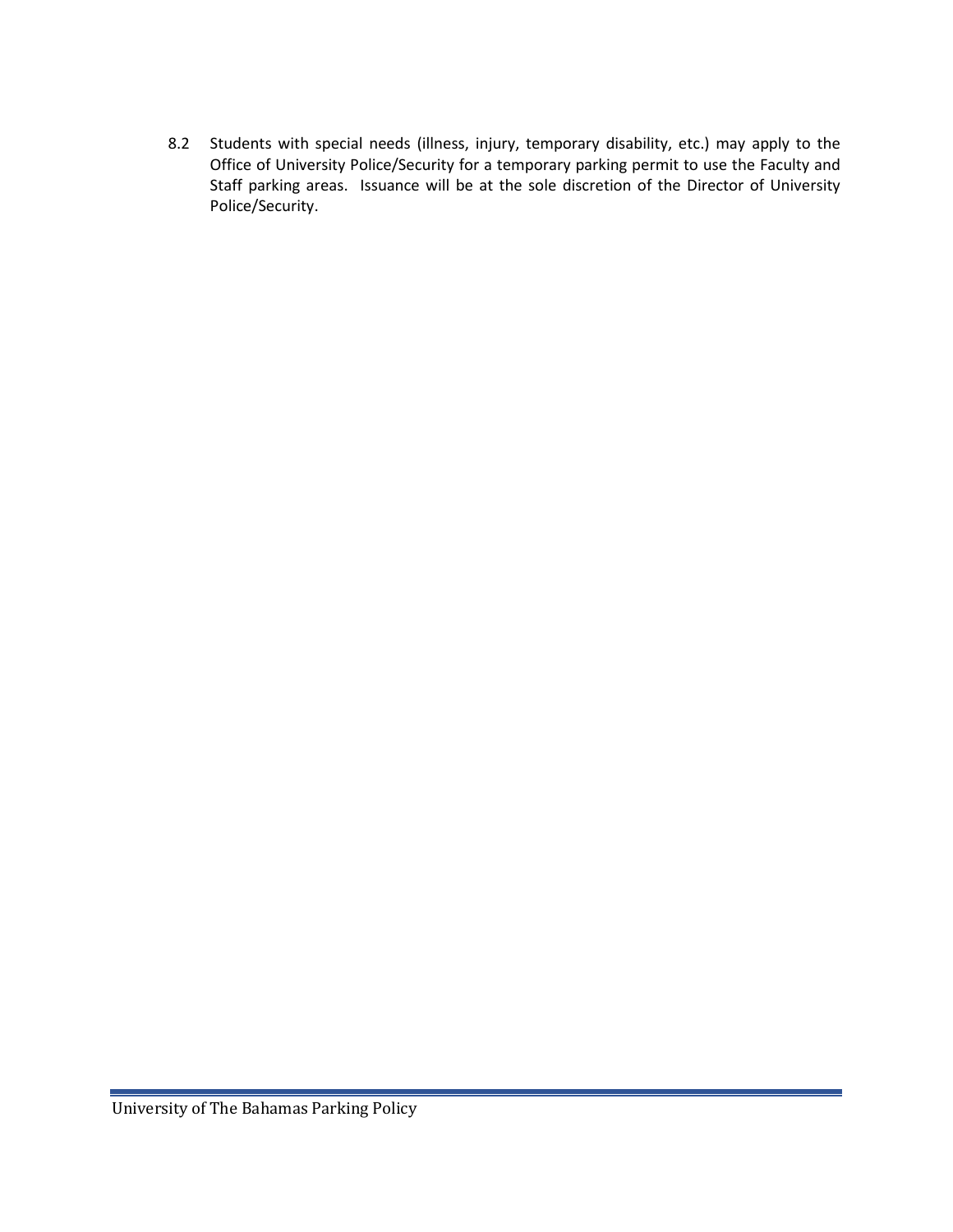8.2 Students with special needs (illness, injury, temporary disability, etc.) may apply to the Office of University Police/Security for a temporary parking permit to use the Faculty and Staff parking areas. Issuance will be at the sole discretion of the Director of University Police/Security.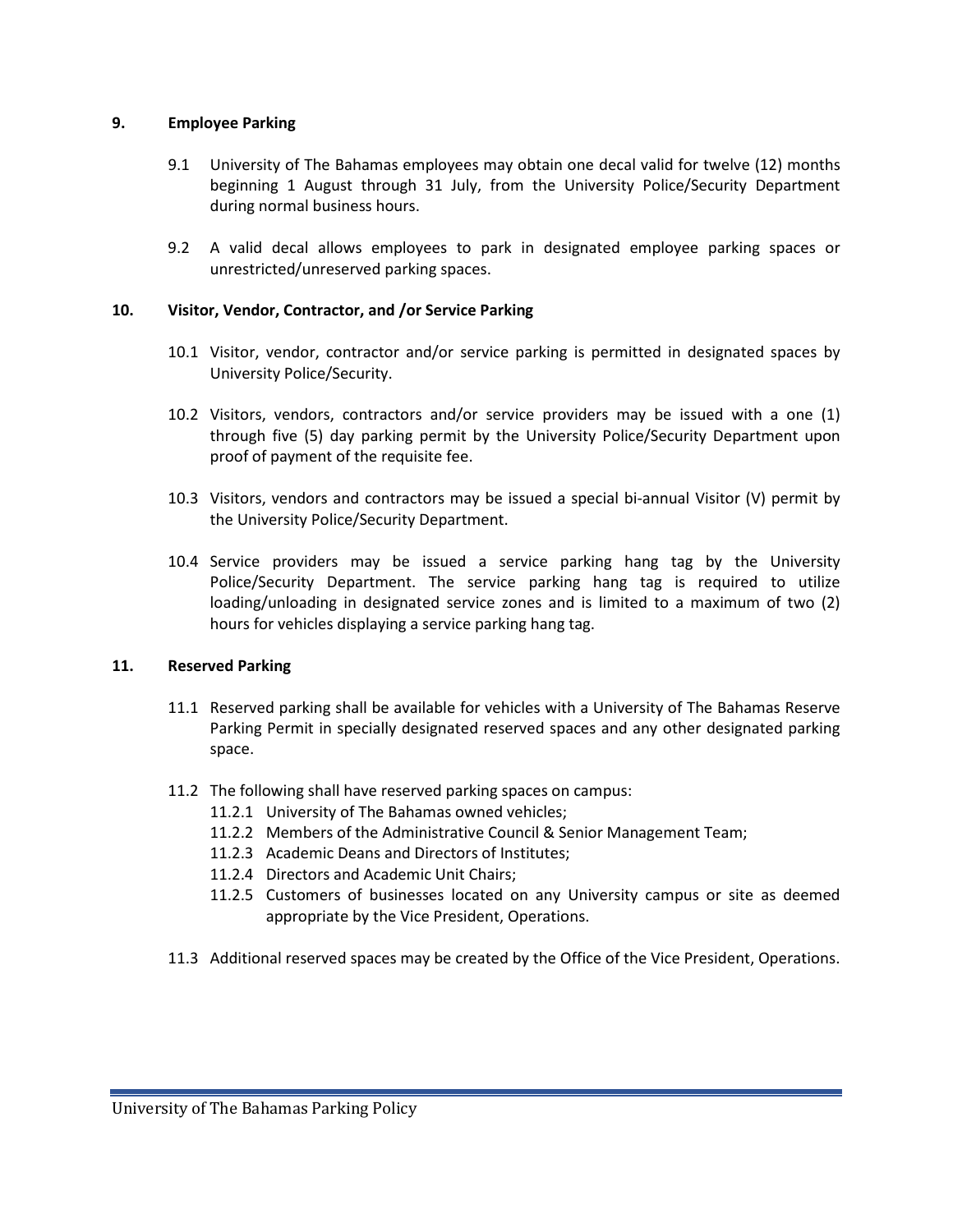#### **9. Employee Parking**

- 9.1 University of The Bahamas employees may obtain one decal valid for twelve (12) months beginning 1 August through 31 July, from the University Police/Security Department during normal business hours.
- 9.2 A valid decal allows employees to park in designated employee parking spaces or unrestricted/unreserved parking spaces.

#### **10. Visitor, Vendor, Contractor, and /or Service Parking**

- 10.1 Visitor, vendor, contractor and/or service parking is permitted in designated spaces by University Police/Security.
- 10.2 Visitors, vendors, contractors and/or service providers may be issued with a one (1) through five (5) day parking permit by the University Police/Security Department upon proof of payment of the requisite fee.
- 10.3 Visitors, vendors and contractors may be issued a special bi-annual Visitor (V) permit by the University Police/Security Department.
- 10.4 Service providers may be issued a service parking hang tag by the University Police/Security Department. The service parking hang tag is required to utilize loading/unloading in designated service zones and is limited to a maximum of two (2) hours for vehicles displaying a service parking hang tag.

#### **11. Reserved Parking**

- 11.1 Reserved parking shall be available for vehicles with a University of The Bahamas Reserve Parking Permit in specially designated reserved spaces and any other designated parking space.
- 11.2 The following shall have reserved parking spaces on campus:
	- 11.2.1 University of The Bahamas owned vehicles;
	- 11.2.2 Members of the Administrative Council & Senior Management Team;
	- 11.2.3 Academic Deans and Directors of Institutes;
	- 11.2.4 Directors and Academic Unit Chairs;
	- 11.2.5 Customers of businesses located on any University campus or site as deemed appropriate by the Vice President, Operations.
- 11.3 Additional reserved spaces may be created by the Office of the Vice President, Operations.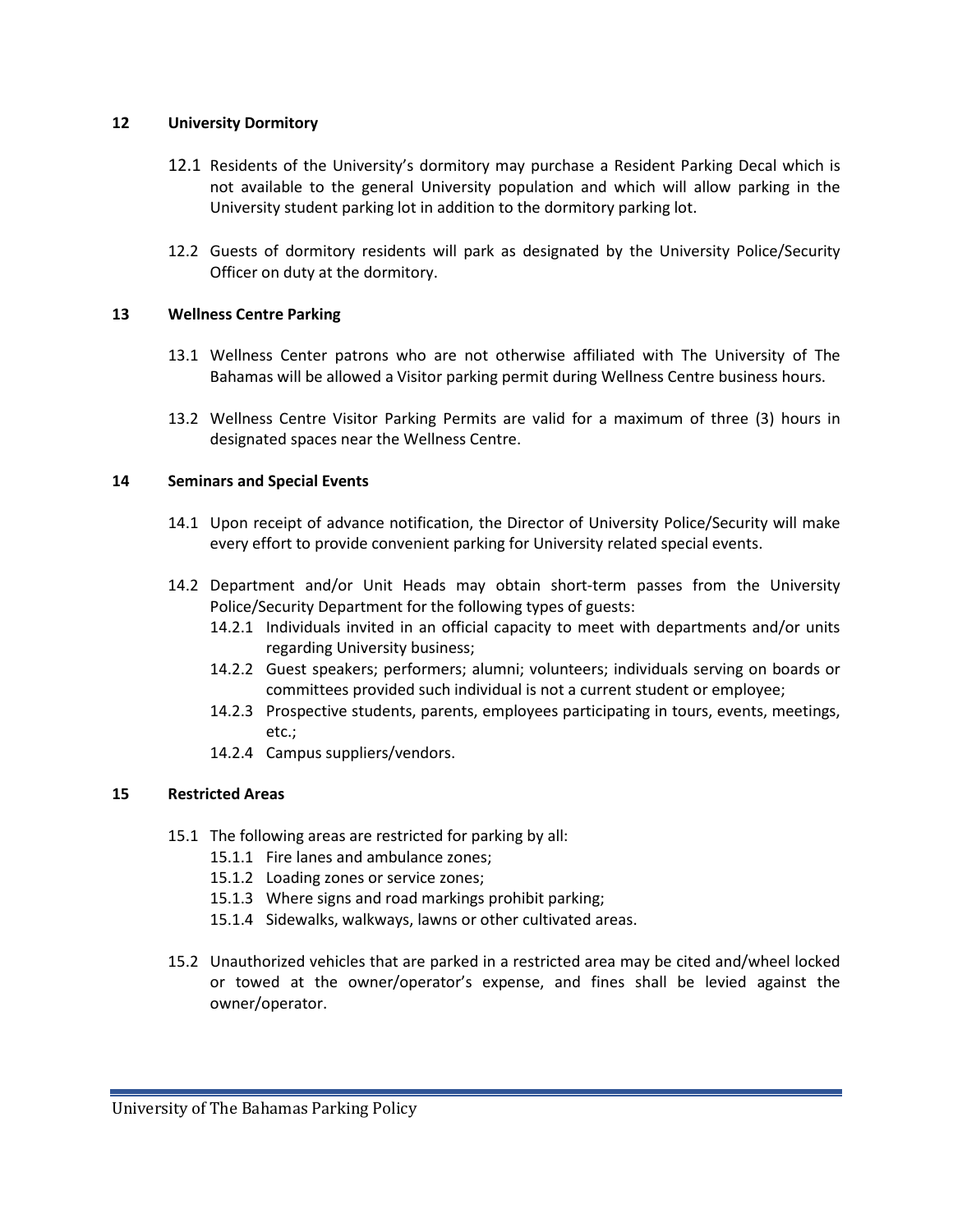#### **12 University Dormitory**

- 12.1 Residents of the University's dormitory may purchase a Resident Parking Decal which is not available to the general University population and which will allow parking in the University student parking lot in addition to the dormitory parking lot.
- 12.2 Guests of dormitory residents will park as designated by the University Police/Security Officer on duty at the dormitory.

#### **13 Wellness Centre Parking**

- 13.1 Wellness Center patrons who are not otherwise affiliated with The University of The Bahamas will be allowed a Visitor parking permit during Wellness Centre business hours.
- 13.2 Wellness Centre Visitor Parking Permits are valid for a maximum of three (3) hours in designated spaces near the Wellness Centre.

#### **14 Seminars and Special Events**

- 14.1 Upon receipt of advance notification, the Director of University Police/Security will make every effort to provide convenient parking for University related special events.
- 14.2 Department and/or Unit Heads may obtain short-term passes from the University Police/Security Department for the following types of guests:
	- 14.2.1 Individuals invited in an official capacity to meet with departments and/or units regarding University business;
	- 14.2.2 Guest speakers; performers; alumni; volunteers; individuals serving on boards or committees provided such individual is not a current student or employee;
	- 14.2.3 Prospective students, parents, employees participating in tours, events, meetings, etc.;
	- 14.2.4 Campus suppliers/vendors.

#### **15 Restricted Areas**

- 15.1 The following areas are restricted for parking by all:
	- 15.1.1 Fire lanes and ambulance zones;
	- 15.1.2 Loading zones or service zones;
	- 15.1.3 Where signs and road markings prohibit parking;
	- 15.1.4 Sidewalks, walkways, lawns or other cultivated areas.
- 15.2 Unauthorized vehicles that are parked in a restricted area may be cited and/wheel locked or towed at the owner/operator's expense, and fines shall be levied against the owner/operator.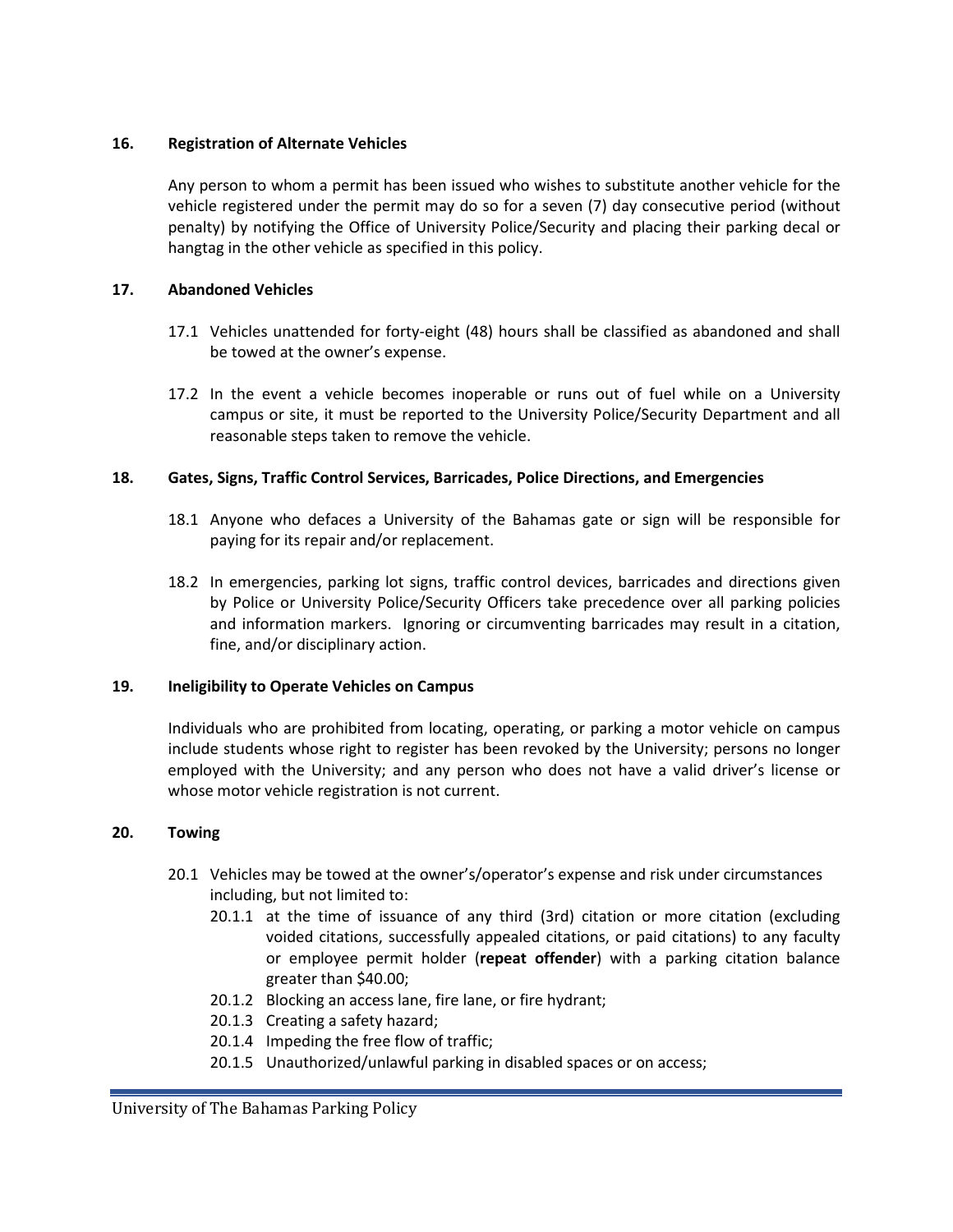#### **16. Registration of Alternate Vehicles**

Any person to whom a permit has been issued who wishes to substitute another vehicle for the vehicle registered under the permit may do so for a seven (7) day consecutive period (without penalty) by notifying the Office of University Police/Security and placing their parking decal or hangtag in the other vehicle as specified in this policy.

#### **17. Abandoned Vehicles**

- 17.1 Vehicles unattended for forty-eight (48) hours shall be classified as abandoned and shall be towed at the owner's expense.
- 17.2 In the event a vehicle becomes inoperable or runs out of fuel while on a University campus or site, it must be reported to the University Police/Security Department and all reasonable steps taken to remove the vehicle.

#### **18. Gates, Signs, Traffic Control Services, Barricades, Police Directions, and Emergencies**

- 18.1 Anyone who defaces a University of the Bahamas gate or sign will be responsible for paying for its repair and/or replacement.
- 18.2 In emergencies, parking lot signs, traffic control devices, barricades and directions given by Police or University Police/Security Officers take precedence over all parking policies and information markers. Ignoring or circumventing barricades may result in a citation, fine, and/or disciplinary action.

#### **19. Ineligibility to Operate Vehicles on Campus**

Individuals who are prohibited from locating, operating, or parking a motor vehicle on campus include students whose right to register has been revoked by the University; persons no longer employed with the University; and any person who does not have a valid driver's license or whose motor vehicle registration is not current.

#### **20. Towing**

- 20.1 Vehicles may be towed at the owner's/operator's expense and risk under circumstances including, but not limited to:
	- 20.1.1 at the time of issuance of any third (3rd) citation or more citation (excluding voided citations, successfully appealed citations, or paid citations) to any faculty or employee permit holder (**repeat offender**) with a parking citation balance greater than \$40.00;
	- 20.1.2 Blocking an access lane, fire lane, or fire hydrant;
	- 20.1.3 Creating a safety hazard;
	- 20.1.4 Impeding the free flow of traffic;
	- 20.1.5 Unauthorized/unlawful parking in disabled spaces or on access;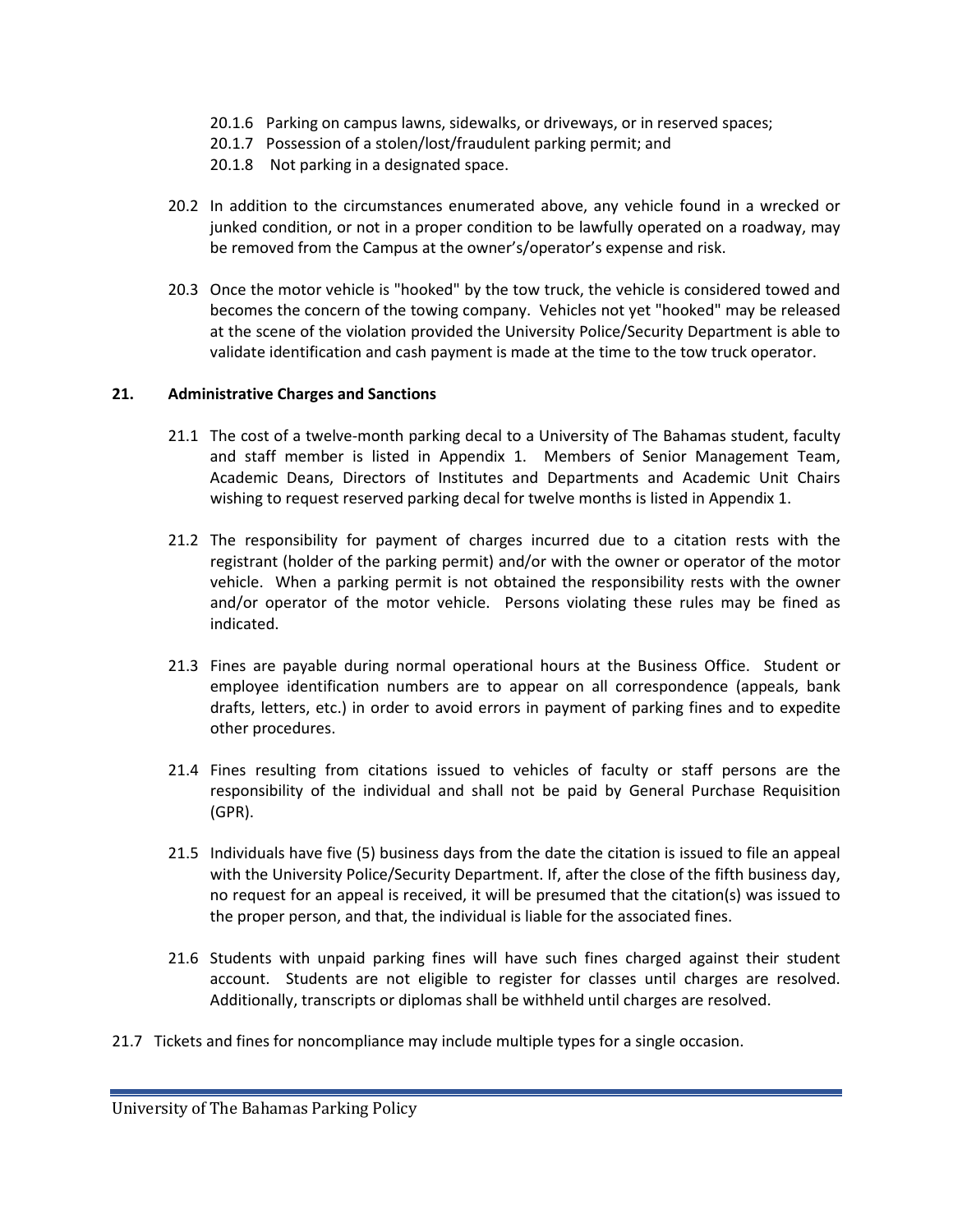- 20.1.6 Parking on campus lawns, sidewalks, or driveways, or in reserved spaces;
- 20.1.7 Possession of a stolen/lost/fraudulent parking permit; and
- 20.1.8 Not parking in a designated space.
- 20.2 In addition to the circumstances enumerated above, any vehicle found in a wrecked or junked condition, or not in a proper condition to be lawfully operated on a roadway, may be removed from the Campus at the owner's/operator's expense and risk.
- 20.3 Once the motor vehicle is "hooked" by the tow truck, the vehicle is considered towed and becomes the concern of the towing company. Vehicles not yet "hooked" may be released at the scene of the violation provided the University Police/Security Department is able to validate identification and cash payment is made at the time to the tow truck operator.

#### **21. Administrative Charges and Sanctions**

- 21.1 The cost of a twelve-month parking decal to a University of The Bahamas student, faculty and staff member is listed in Appendix 1. Members of Senior Management Team, Academic Deans, Directors of Institutes and Departments and Academic Unit Chairs wishing to request reserved parking decal for twelve months is listed in Appendix 1.
- 21.2 The responsibility for payment of charges incurred due to a citation rests with the registrant (holder of the parking permit) and/or with the owner or operator of the motor vehicle. When a parking permit is not obtained the responsibility rests with the owner and/or operator of the motor vehicle. Persons violating these rules may be fined as indicated.
- 21.3 Fines are payable during normal operational hours at the Business Office. Student or employee identification numbers are to appear on all correspondence (appeals, bank drafts, letters, etc.) in order to avoid errors in payment of parking fines and to expedite other procedures.
- 21.4 Fines resulting from citations issued to vehicles of faculty or staff persons are the responsibility of the individual and shall not be paid by General Purchase Requisition (GPR).
- 21.5 Individuals have five (5) business days from the date the citation is issued to file an appeal with the University Police/Security Department. If, after the close of the fifth business day, no request for an appeal is received, it will be presumed that the citation(s) was issued to the proper person, and that, the individual is liable for the associated fines.
- 21.6 Students with unpaid parking fines will have such fines charged against their student account. Students are not eligible to register for classes until charges are resolved. Additionally, transcripts or diplomas shall be withheld until charges are resolved.
- 21.7 Tickets and fines for noncompliance may include multiple types for a single occasion.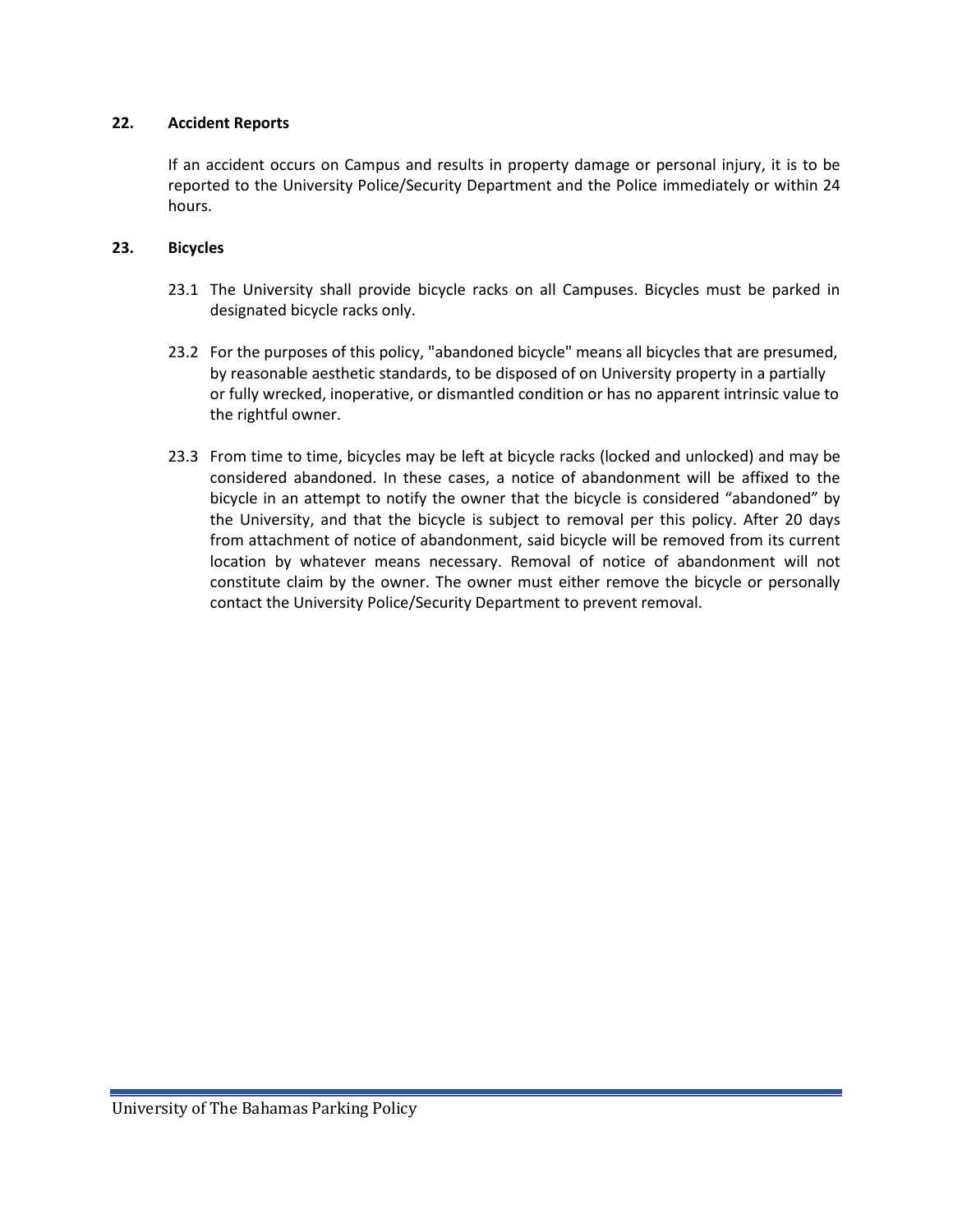#### **22. Accident Reports**

If an accident occurs on Campus and results in property damage or personal injury, it is to be reported to the University Police/Security Department and the Police immediately or within 24 hours.

### **23. Bicycles**

- 23.1 The University shall provide bicycle racks on all Campuses. Bicycles must be parked in designated bicycle racks only.
- 23.2 For the purposes of this policy, "abandoned bicycle" means all bicycles that are presumed, by reasonable aesthetic standards, to be disposed of on University property in a partially or fully wrecked, inoperative, or dismantled condition or has no apparent intrinsic value to the rightful owner.
- 23.3 From time to time, bicycles may be left at bicycle racks (locked and unlocked) and may be considered abandoned. In these cases, a notice of abandonment will be affixed to the bicycle in an attempt to notify the owner that the bicycle is considered "abandoned" by the University, and that the bicycle is subject to removal per this policy. After 20 days from attachment of notice of abandonment, said bicycle will be removed from its current location by whatever means necessary. Removal of notice of abandonment will not constitute claim by the owner. The owner must either remove the bicycle or personally contact the University Police/Security Department to prevent removal.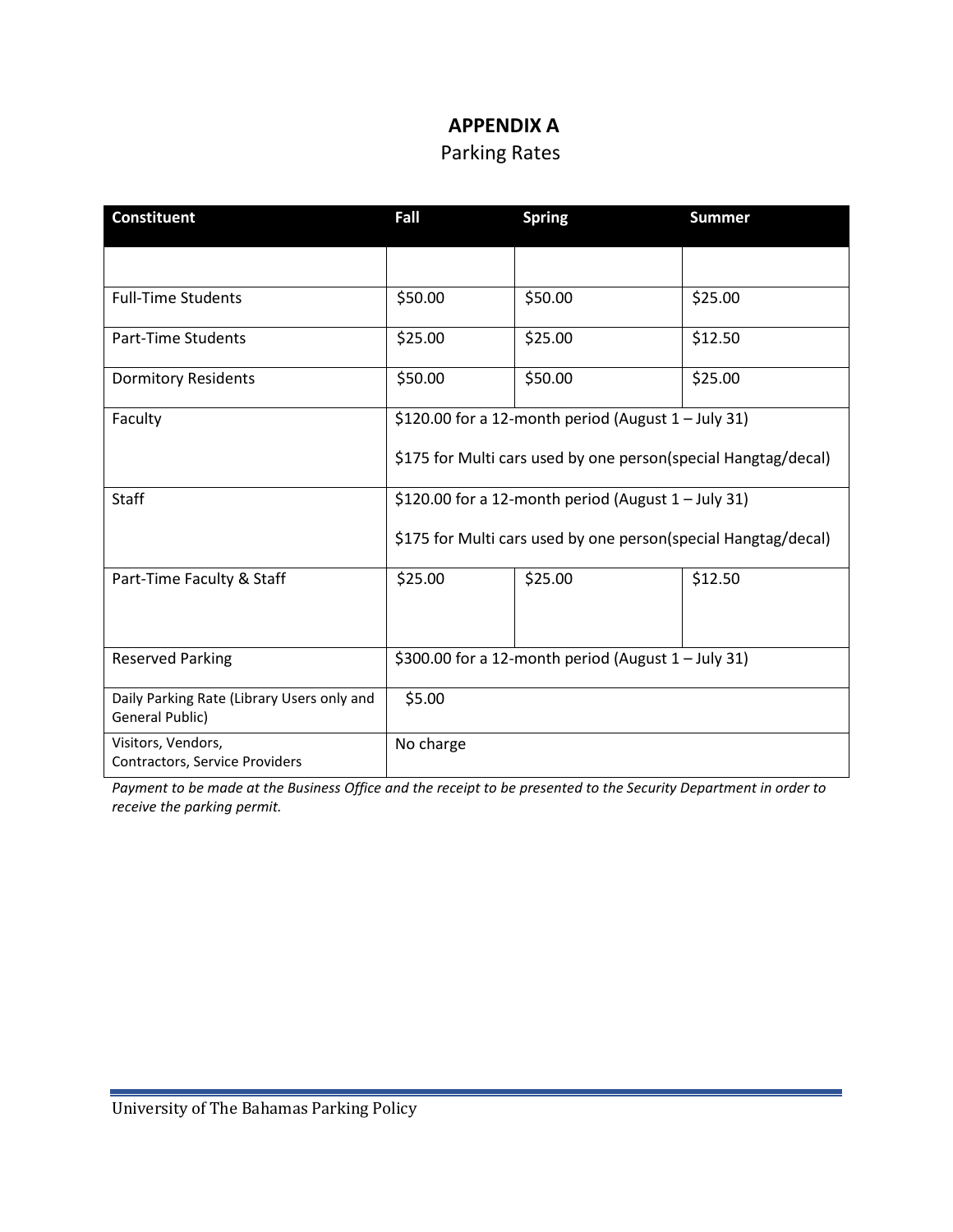# **APPENDIX A**

## Parking Rates

| <b>Constituent</b>                                            | Fall      | <b>Spring</b>                                                  | <b>Summer</b> |
|---------------------------------------------------------------|-----------|----------------------------------------------------------------|---------------|
|                                                               |           |                                                                |               |
| <b>Full-Time Students</b>                                     | \$50.00   | \$50.00                                                        | \$25.00       |
| Part-Time Students                                            | \$25.00   | \$25.00                                                        | \$12.50       |
| <b>Dormitory Residents</b>                                    | \$50.00   | \$50.00                                                        | \$25.00       |
| Faculty                                                       |           | \$120.00 for a 12-month period (August 1 - July 31)            |               |
|                                                               |           | \$175 for Multi cars used by one person(special Hangtag/decal) |               |
| <b>Staff</b>                                                  |           | \$120.00 for a 12-month period (August $1 -$ July 31)          |               |
|                                                               |           | \$175 for Multi cars used by one person(special Hangtag/decal) |               |
| Part-Time Faculty & Staff                                     | \$25.00   | \$25.00                                                        | \$12.50       |
|                                                               |           |                                                                |               |
| <b>Reserved Parking</b>                                       |           | \$300.00 for a 12-month period (August $1 -$ July 31)          |               |
| Daily Parking Rate (Library Users only and<br>General Public) | \$5.00    |                                                                |               |
| Visitors, Vendors,<br>Contractors, Service Providers          | No charge |                                                                |               |

*Payment to be made at the Business Office and the receipt to be presented to the Security Department in order to receive the parking permit.*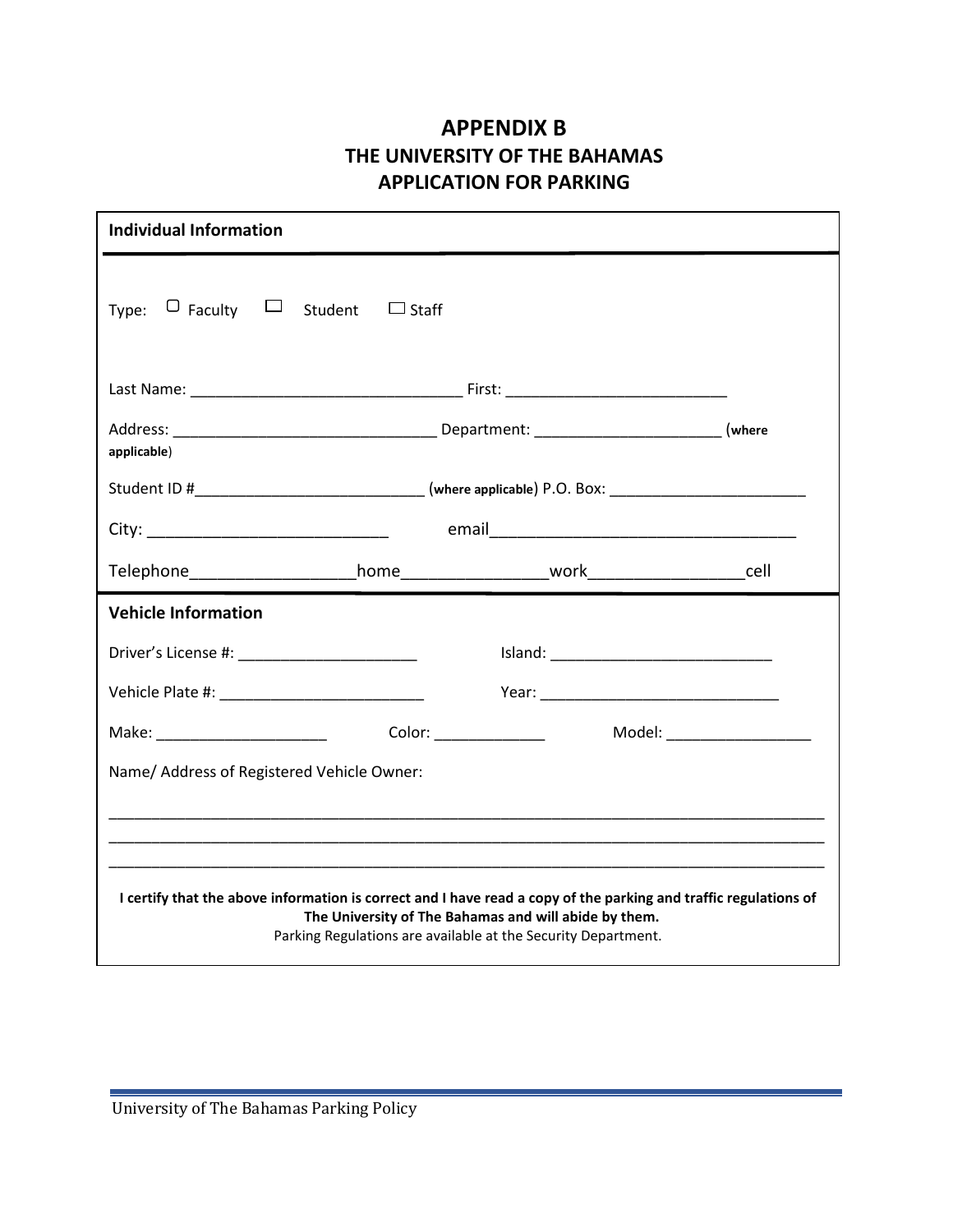## **APPENDIX B THE UNIVERSITY OF THE BAHAMAS APPLICATION FOR PARKING**

| applicable)                                    |                                                                                                     |  |
|------------------------------------------------|-----------------------------------------------------------------------------------------------------|--|
|                                                | Student ID #______________________________(where applicable) P.O. BOX: ____________________________ |  |
|                                                |                                                                                                     |  |
|                                                |                                                                                                     |  |
| <b>Vehicle Information</b>                     |                                                                                                     |  |
| Driver's License #: __________________________ |                                                                                                     |  |
|                                                |                                                                                                     |  |
|                                                |                                                                                                     |  |
| Name/ Address of Registered Vehicle Owner:     |                                                                                                     |  |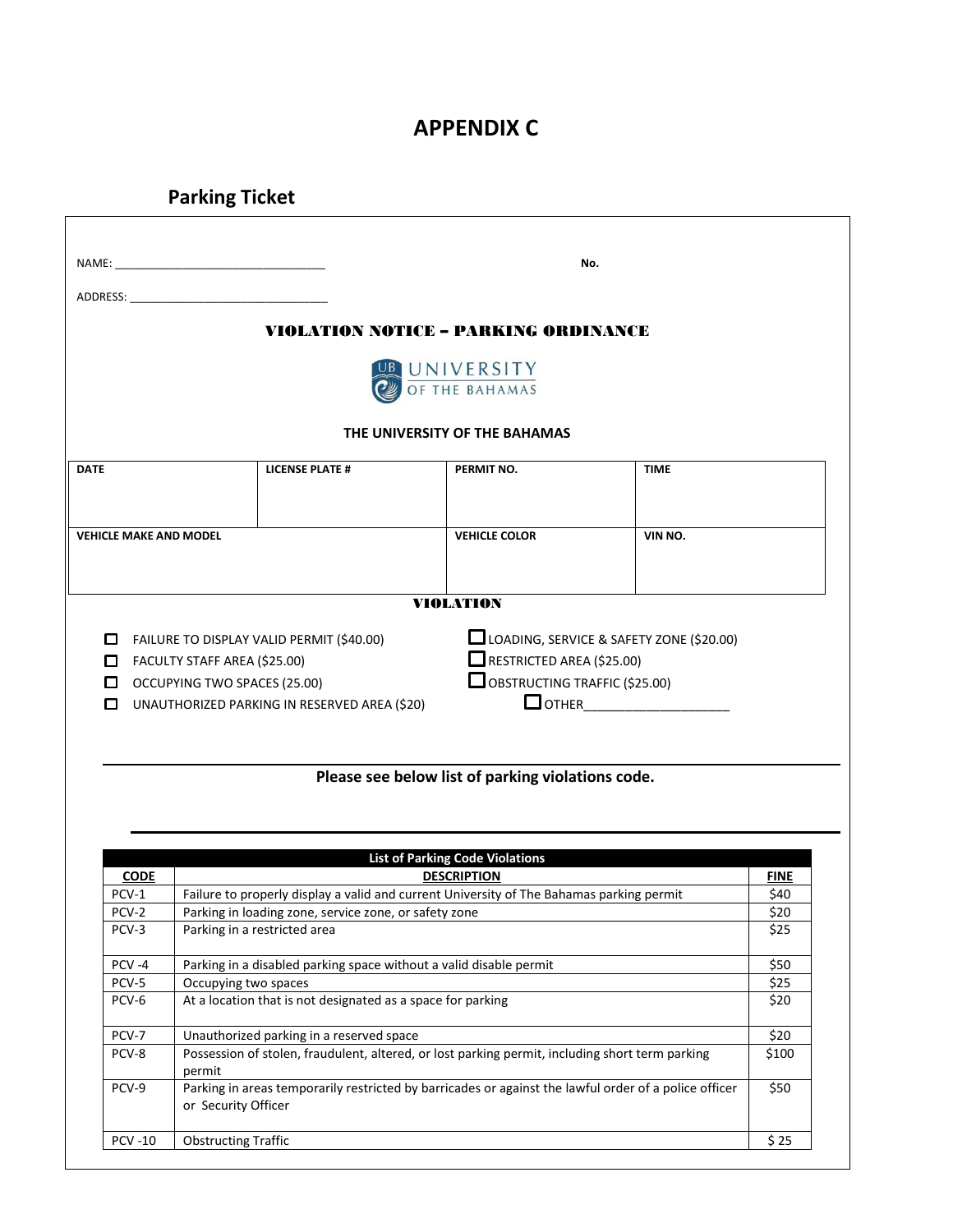### **APPENDIX C**

# **Parking Ticket**

|                               |                              |                                                                                       | No.                                                                                                   |                                          |              |
|-------------------------------|------------------------------|---------------------------------------------------------------------------------------|-------------------------------------------------------------------------------------------------------|------------------------------------------|--------------|
|                               |                              |                                                                                       |                                                                                                       |                                          |              |
|                               |                              |                                                                                       | <b>VIOLATION NOTICE - PARKING ORDINANCE</b>                                                           |                                          |              |
|                               |                              |                                                                                       | UNIVERSITY                                                                                            |                                          |              |
|                               |                              |                                                                                       | THE UNIVERSITY OF THE BAHAMAS                                                                         |                                          |              |
| <b>DATE</b>                   |                              | <b>LICENSE PLATE #</b>                                                                | PERMIT NO.                                                                                            | <b>TIME</b>                              |              |
|                               |                              |                                                                                       |                                                                                                       |                                          |              |
|                               |                              |                                                                                       |                                                                                                       |                                          |              |
| <b>VEHICLE MAKE AND MODEL</b> |                              |                                                                                       | <b>VEHICLE COLOR</b>                                                                                  | VIN NO.                                  |              |
|                               |                              |                                                                                       |                                                                                                       |                                          |              |
|                               |                              |                                                                                       | <b>VIOLATION</b>                                                                                      |                                          |              |
|                               |                              |                                                                                       |                                                                                                       |                                          |              |
| $\Box$                        |                              | FAILURE TO DISPLAY VALID PERMIT (\$40.00)                                             |                                                                                                       | LOADING, SERVICE & SAFETY ZONE (\$20.00) |              |
|                               |                              |                                                                                       | $\Box$ RESTRICTED AREA (\$25.00)                                                                      |                                          |              |
| $\Box$                        | FACULTY STAFF AREA (\$25.00) |                                                                                       |                                                                                                       |                                          |              |
| □                             | OCCUPYING TWO SPACES (25.00) |                                                                                       |                                                                                                       |                                          |              |
|                               |                              |                                                                                       | OBSTRUCTING TRAFFIC (\$25.00)                                                                         |                                          |              |
| $\Box$                        |                              | UNAUTHORIZED PARKING IN RESERVED AREA (\$20)                                          |                                                                                                       | $\Box$ OTHER                             |              |
|                               |                              |                                                                                       |                                                                                                       |                                          |              |
|                               |                              |                                                                                       |                                                                                                       |                                          |              |
|                               |                              |                                                                                       |                                                                                                       |                                          |              |
|                               |                              |                                                                                       | Please see below list of parking violations code.                                                     |                                          |              |
|                               |                              |                                                                                       |                                                                                                       |                                          |              |
|                               |                              |                                                                                       |                                                                                                       |                                          |              |
|                               |                              |                                                                                       | <b>List of Parking Code Violations</b>                                                                |                                          |              |
| <b>CODE</b>                   |                              |                                                                                       | <b>DESCRIPTION</b>                                                                                    |                                          | <b>FINE</b>  |
| PCV-1<br>PCV-2                |                              |                                                                                       | Failure to properly display a valid and current University of The Bahamas parking permit              |                                          | \$40<br>\$20 |
| PCV-3                         |                              | Parking in loading zone, service zone, or safety zone<br>Parking in a restricted area |                                                                                                       |                                          | \$25         |
|                               |                              |                                                                                       |                                                                                                       |                                          |              |
| PCV-4                         |                              |                                                                                       | Parking in a disabled parking space without a valid disable permit                                    |                                          | \$50         |
| PCV-5                         | Occupying two spaces         |                                                                                       |                                                                                                       |                                          | \$25         |
| PCV-6                         |                              | At a location that is not designated as a space for parking                           |                                                                                                       |                                          | \$20         |
| PCV-7                         |                              | Unauthorized parking in a reserved space                                              |                                                                                                       |                                          | \$20         |
| PCV-8                         |                              |                                                                                       | Possession of stolen, fraudulent, altered, or lost parking permit, including short term parking       |                                          | \$100        |
|                               | permit                       |                                                                                       |                                                                                                       |                                          |              |
| PCV-9                         |                              |                                                                                       | Parking in areas temporarily restricted by barricades or against the lawful order of a police officer |                                          | \$50         |
|                               | or Security Officer          |                                                                                       |                                                                                                       |                                          |              |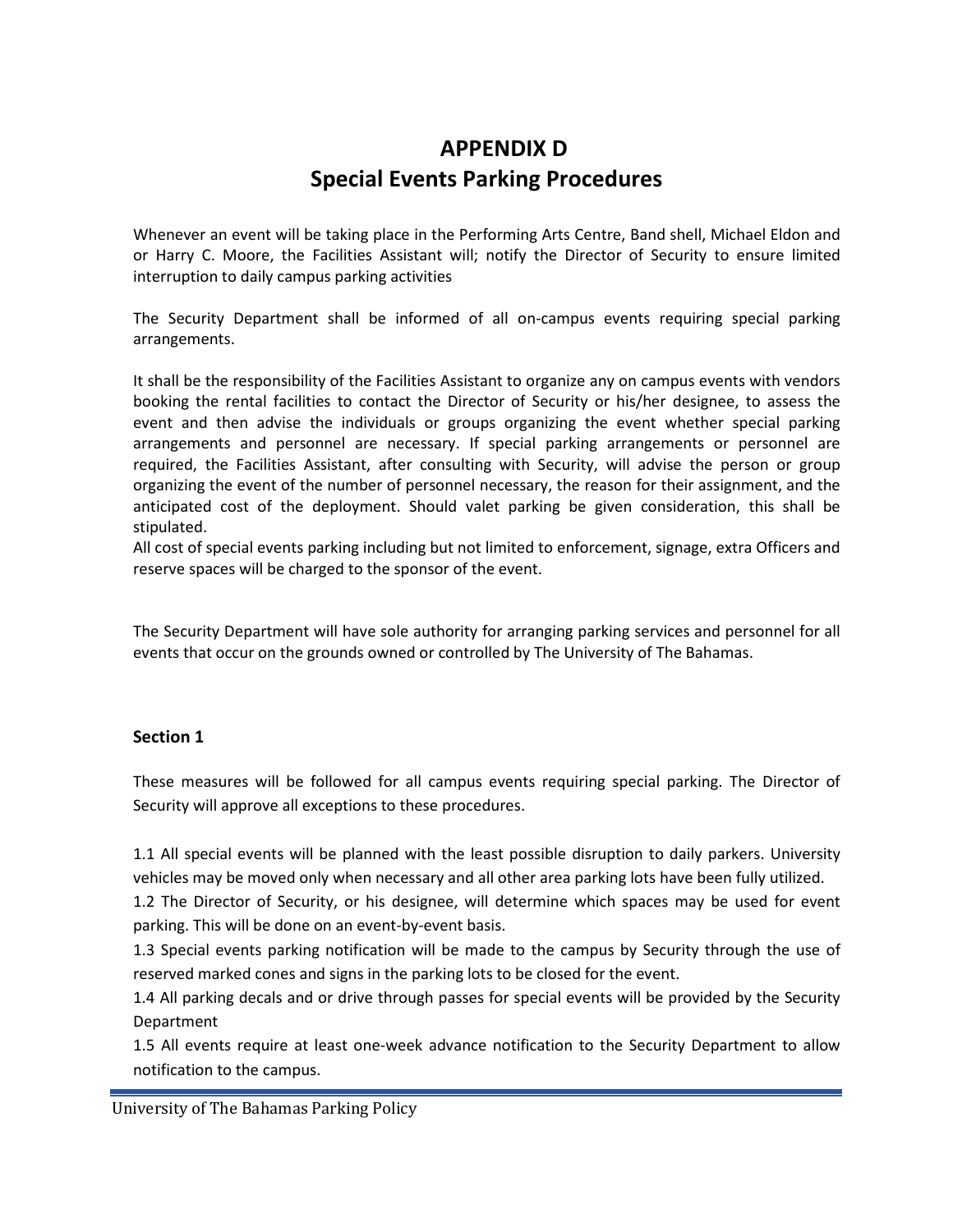# **APPENDIX D Special Events Parking Procedures**

Whenever an event will be taking place in the Performing Arts Centre, Band shell, Michael Eldon and or Harry C. Moore, the Facilities Assistant will; notify the Director of Security to ensure limited interruption to daily campus parking activities

The Security Department shall be informed of all on-campus events requiring special parking arrangements.

It shall be the responsibility of the Facilities Assistant to organize any on campus events with vendors booking the rental facilities to contact the Director of Security or his/her designee, to assess the event and then advise the individuals or groups organizing the event whether special parking arrangements and personnel are necessary. If special parking arrangements or personnel are required, the Facilities Assistant, after consulting with Security, will advise the person or group organizing the event of the number of personnel necessary, the reason for their assignment, and the anticipated cost of the deployment. Should valet parking be given consideration, this shall be stipulated.

All cost of special events parking including but not limited to enforcement, signage, extra Officers and reserve spaces will be charged to the sponsor of the event.

The Security Department will have sole authority for arranging parking services and personnel for all events that occur on the grounds owned or controlled by The University of The Bahamas.

#### **Section 1**

These measures will be followed for all campus events requiring special parking. The Director of Security will approve all exceptions to these procedures.

1.1 All special events will be planned with the least possible disruption to daily parkers. University vehicles may be moved only when necessary and all other area parking lots have been fully utilized.

1.2 The Director of Security, or his designee, will determine which spaces may be used for event parking. This will be done on an event-by-event basis.

1.3 Special events parking notification will be made to the campus by Security through the use of reserved marked cones and signs in the parking lots to be closed for the event.

1.4 All parking decals and or drive through passes for special events will be provided by the Security Department

1.5 All events require at least one-week advance notification to the Security Department to allow notification to the campus.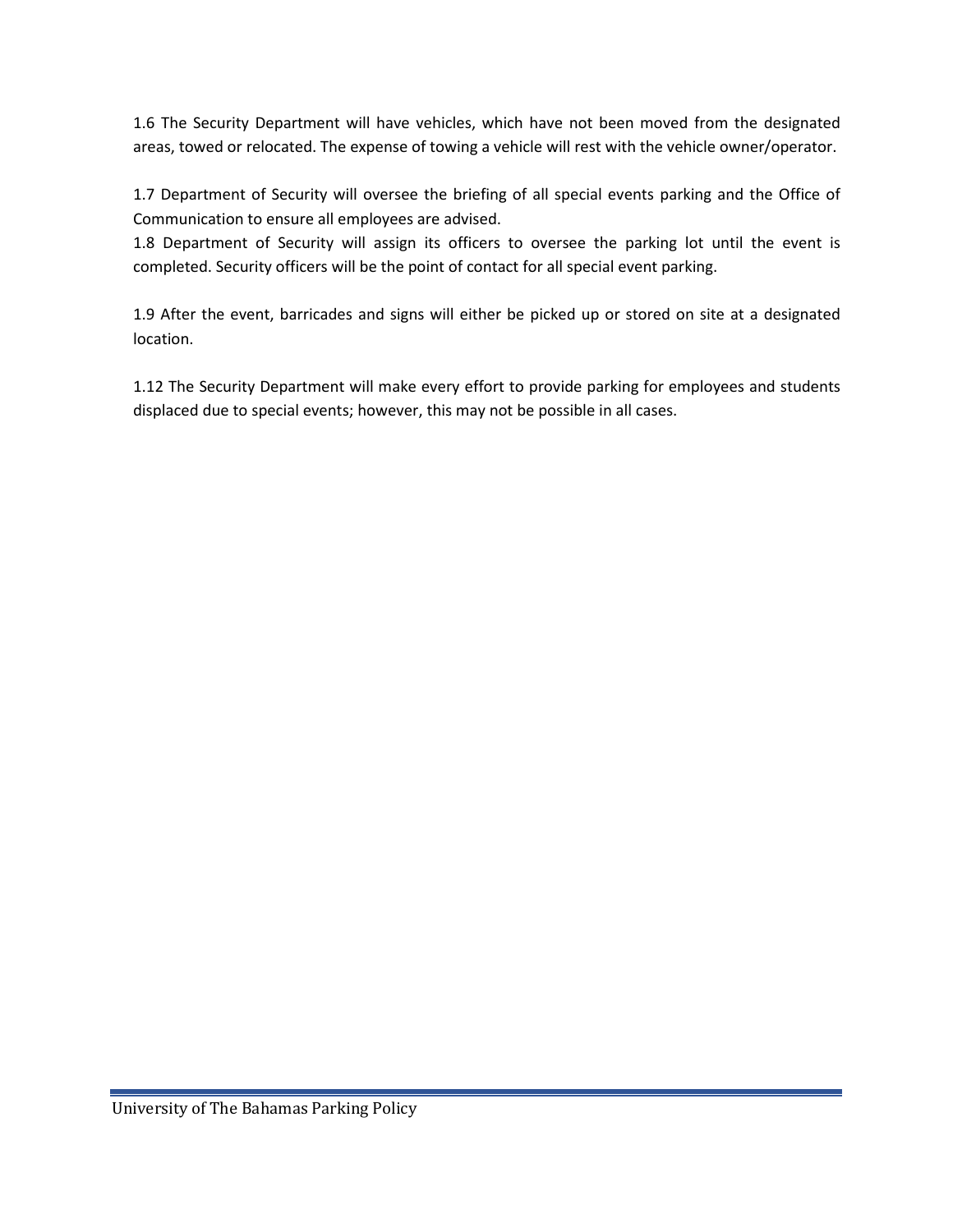1.6 The Security Department will have vehicles, which have not been moved from the designated areas, towed or relocated. The expense of towing a vehicle will rest with the vehicle owner/operator.

1.7 Department of Security will oversee the briefing of all special events parking and the Office of Communication to ensure all employees are advised.

1.8 Department of Security will assign its officers to oversee the parking lot until the event is completed. Security officers will be the point of contact for all special event parking.

1.9 After the event, barricades and signs will either be picked up or stored on site at a designated location.

1.12 The Security Department will make every effort to provide parking for employees and students displaced due to special events; however, this may not be possible in all cases.